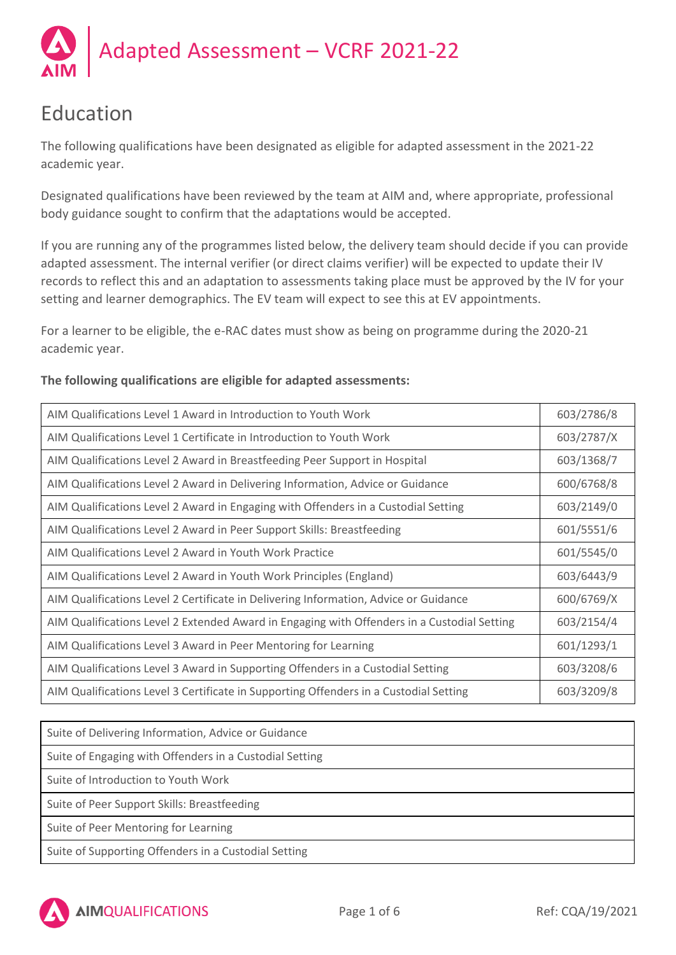Adapted Assessment – VCRF 2021-22

# Education

The following qualifications have been designated as eligible for adapted assessment in the 2021-22 academic year.

Designated qualifications have been reviewed by the team at AIM and, where appropriate, professional body guidance sought to confirm that the adaptations would be accepted.

If you are running any of the programmes listed below, the delivery team should decide if you can provide adapted assessment. The internal verifier (or direct claims verifier) will be expected to update their IV records to reflect this and an adaptation to assessments taking place must be approved by the IV for your setting and learner demographics. The EV team will expect to see this at EV appointments.

For a learner to be eligible, the e-RAC dates must show as being on programme during the 2020-21 academic year.

### **The following qualifications are eligible for adapted assessments:**

| AIM Qualifications Level 1 Award in Introduction to Youth Work                              | 603/2786/8 |
|---------------------------------------------------------------------------------------------|------------|
| AIM Qualifications Level 1 Certificate in Introduction to Youth Work                        | 603/2787/X |
| AIM Qualifications Level 2 Award in Breastfeeding Peer Support in Hospital                  | 603/1368/7 |
| AIM Qualifications Level 2 Award in Delivering Information, Advice or Guidance              | 600/6768/8 |
| AIM Qualifications Level 2 Award in Engaging with Offenders in a Custodial Setting          | 603/2149/0 |
| AIM Qualifications Level 2 Award in Peer Support Skills: Breastfeeding                      | 601/5551/6 |
| AIM Qualifications Level 2 Award in Youth Work Practice                                     | 601/5545/0 |
| AIM Qualifications Level 2 Award in Youth Work Principles (England)                         | 603/6443/9 |
| AIM Qualifications Level 2 Certificate in Delivering Information, Advice or Guidance        | 600/6769/X |
| AIM Qualifications Level 2 Extended Award in Engaging with Offenders in a Custodial Setting | 603/2154/4 |
| AIM Qualifications Level 3 Award in Peer Mentoring for Learning                             | 601/1293/1 |
| AIM Qualifications Level 3 Award in Supporting Offenders in a Custodial Setting             | 603/3208/6 |
| AIM Qualifications Level 3 Certificate in Supporting Offenders in a Custodial Setting       | 603/3209/8 |

| Suite of Delivering Information, Advice or Guidance     |
|---------------------------------------------------------|
| Suite of Engaging with Offenders in a Custodial Setting |
| Suite of Introduction to Youth Work                     |
| Suite of Peer Support Skills: Breastfeeding             |
| Suite of Peer Mentoring for Learning                    |
| Suite of Supporting Offenders in a Custodial Setting    |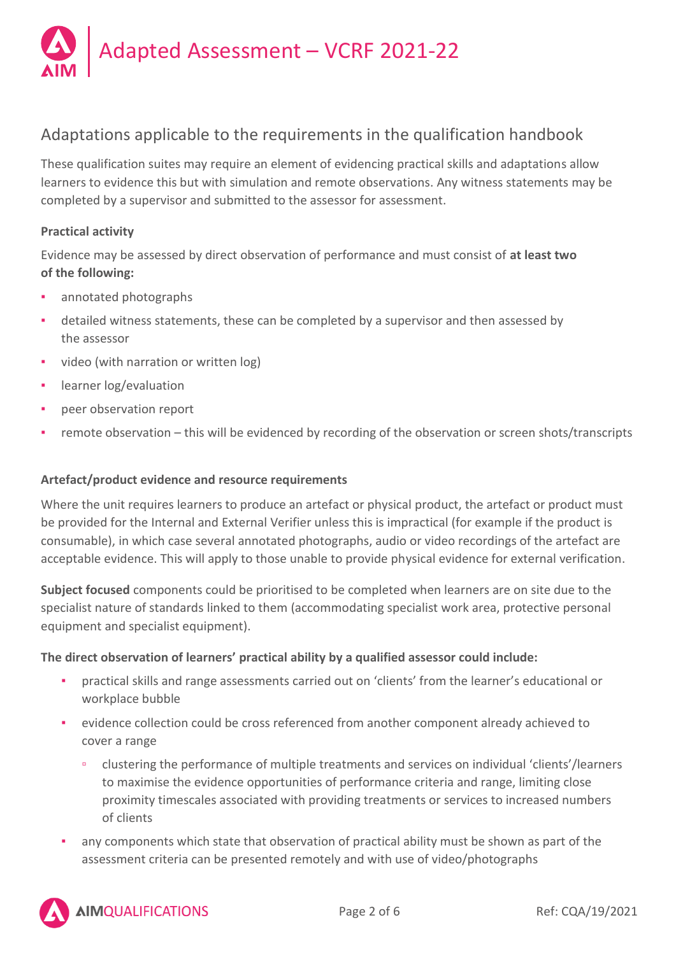

# Adaptations applicable to the requirements in the qualification handbook

These qualification suites may require an element of evidencing practical skills and adaptations allow learners to evidence this but with simulation and remote observations. Any witness statements may be completed by a supervisor and submitted to the assessor for assessment.

### **Practical activity**

Evidence may be assessed by direct observation of performance and must consist of **at least two of the following:**

- annotated photographs
- detailed witness statements, these can be completed by a supervisor and then assessed by the assessor
- video (with narration or written log)
- learner log/evaluation
- peer observation report
- remote observation this will be evidenced by recording of the observation or screen shots/transcripts

#### **Artefact/product evidence and resource requirements**

Where the unit requires learners to produce an artefact or physical product, the artefact or product must be provided for the Internal and External Verifier unless this is impractical (for example if the product is consumable), in which case several annotated photographs, audio or video recordings of the artefact are acceptable evidence. This will apply to those unable to provide physical evidence for external verification.

**Subject focused** components could be prioritised to be completed when learners are on site due to the specialist nature of standards linked to them (accommodating specialist work area, protective personal equipment and specialist equipment).

#### **The direct observation of learners' practical ability by a qualified assessor could include:**

- practical skills and range assessments carried out on 'clients' from the learner's educational or workplace bubble
- evidence collection could be cross referenced from another component already achieved to cover a range
	- clustering the performance of multiple treatments and services on individual 'clients'/learners to maximise the evidence opportunities of performance criteria and range, limiting close proximity timescales associated with providing treatments or services to increased numbers of clients
- any components which state that observation of practical ability must be shown as part of the assessment criteria can be presented remotely and with use of video/photographs